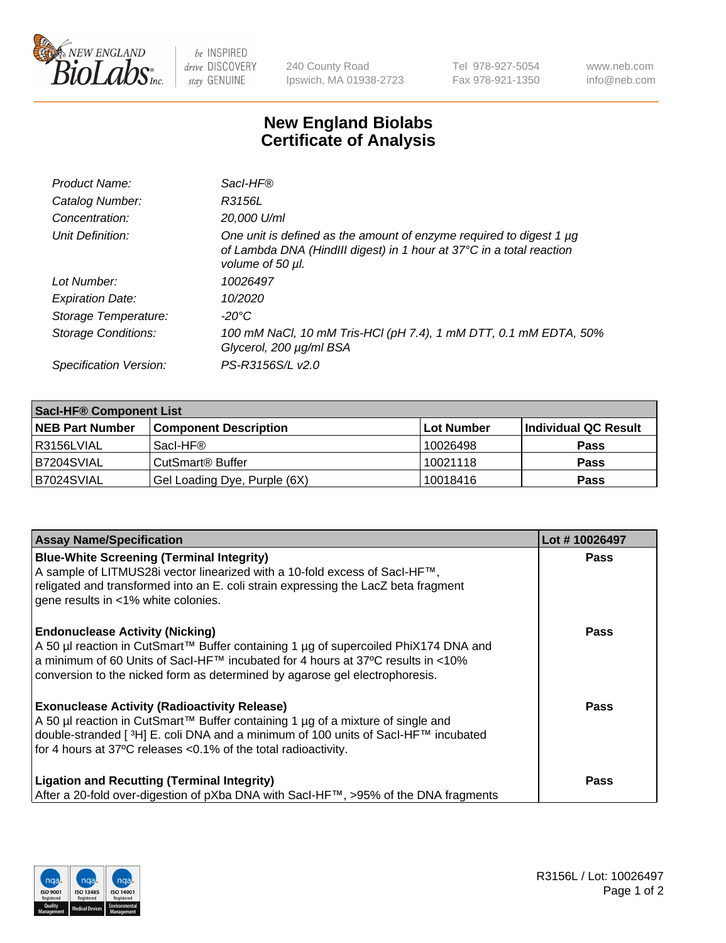

 $be$  INSPIRED drive DISCOVERY stay GENUINE

240 County Road Ipswich, MA 01938-2723 Tel 978-927-5054 Fax 978-921-1350 www.neb.com info@neb.com

## **New England Biolabs Certificate of Analysis**

| Product Name:              | Sacl-HF®                                                                                                                                                        |
|----------------------------|-----------------------------------------------------------------------------------------------------------------------------------------------------------------|
| Catalog Number:            | R3156L                                                                                                                                                          |
| Concentration:             | 20,000 U/ml                                                                                                                                                     |
| Unit Definition:           | One unit is defined as the amount of enzyme required to digest 1 µg<br>of Lambda DNA (HindIII digest) in 1 hour at 37°C in a total reaction<br>volume of 50 µl. |
| Lot Number:                | 10026497                                                                                                                                                        |
| <b>Expiration Date:</b>    | 10/2020                                                                                                                                                         |
| Storage Temperature:       | $-20^{\circ}$ C                                                                                                                                                 |
| <b>Storage Conditions:</b> | 100 mM NaCl, 10 mM Tris-HCl (pH 7.4), 1 mM DTT, 0.1 mM EDTA, 50%<br>Glycerol, 200 µg/ml BSA                                                                     |
| Specification Version:     | PS-R3156S/L v2.0                                                                                                                                                |

| <b>Saci-HF® Component List</b> |                              |            |                      |  |  |
|--------------------------------|------------------------------|------------|----------------------|--|--|
| <b>NEB Part Number</b>         | <b>Component Description</b> | Lot Number | Individual QC Result |  |  |
| l R3156LVIAL                   | Sacl-HF®                     | 10026498   | <b>Pass</b>          |  |  |
| IB7204SVIAL                    | CutSmart <sup>®</sup> Buffer | 10021118   | <b>Pass</b>          |  |  |
| B7024SVIAL                     | Gel Loading Dye, Purple (6X) | 10018416   | <b>Pass</b>          |  |  |

| <b>Assay Name/Specification</b>                                                                                                                                                                                                                                                                            | Lot #10026497 |
|------------------------------------------------------------------------------------------------------------------------------------------------------------------------------------------------------------------------------------------------------------------------------------------------------------|---------------|
| <b>Blue-White Screening (Terminal Integrity)</b><br>A sample of LITMUS28i vector linearized with a 10-fold excess of SacI-HF™,<br>religated and transformed into an E. coli strain expressing the LacZ beta fragment<br>gene results in <1% white colonies.                                                | <b>Pass</b>   |
| <b>Endonuclease Activity (Nicking)</b><br>A 50 µl reaction in CutSmart™ Buffer containing 1 µg of supercoiled PhiX174 DNA and<br>a minimum of 60 Units of Sacl-HF™ incubated for 4 hours at 37°C results in <10%<br>conversion to the nicked form as determined by agarose gel electrophoresis.            | Pass          |
| <b>Exonuclease Activity (Radioactivity Release)</b><br>A 50 µl reaction in CutSmart™ Buffer containing 1 µg of a mixture of single and<br>double-stranded [ <sup>3</sup> H] E. coli DNA and a minimum of 100 units of Sacl-HF™ incubated<br>for 4 hours at 37°C releases <0.1% of the total radioactivity. | <b>Pass</b>   |
| <b>Ligation and Recutting (Terminal Integrity)</b><br>After a 20-fold over-digestion of pXba DNA with Sacl-HF™, >95% of the DNA fragments                                                                                                                                                                  | Pass          |